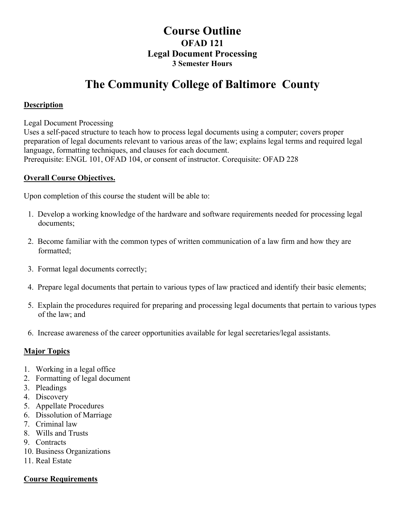## **Course Outline OFAD 121 Legal Document Processing 3 Semester Hours**

# **The Community College of Baltimore County**

#### **Description**

Legal Document Processing

Uses a self-paced structure to teach how to process legal documents using a computer; covers proper preparation of legal documents relevant to various areas of the law; explains legal terms and required legal language, formatting techniques, and clauses for each document. Prerequisite: ENGL 101, OFAD 104, or consent of instructor. Corequisite: OFAD 228

#### **Overall Course Objectives.**

Upon completion of this course the student will be able to:

- 1. Develop a working knowledge of the hardware and software requirements needed for processing legal documents;
- 2. Become familiar with the common types of written communication of a law firm and how they are formatted;
- 3. Format legal documents correctly;
- 4. Prepare legal documents that pertain to various types of law practiced and identify their basic elements;
- 5. Explain the procedures required for preparing and processing legal documents that pertain to various types of the law; and
- 6. Increase awareness of the career opportunities available for legal secretaries/legal assistants.

#### **Major Topics**

- 1. Working in a legal office
- 2. Formatting of legal document
- 3. Pleadings
- 4. Discovery
- 5. Appellate Procedures
- 6. Dissolution of Marriage
- 7. Criminal law
- 8. Wills and Trusts
- 9. Contracts
- 10. Business Organizations
- 11. Real Estate

#### **Course Requirements**